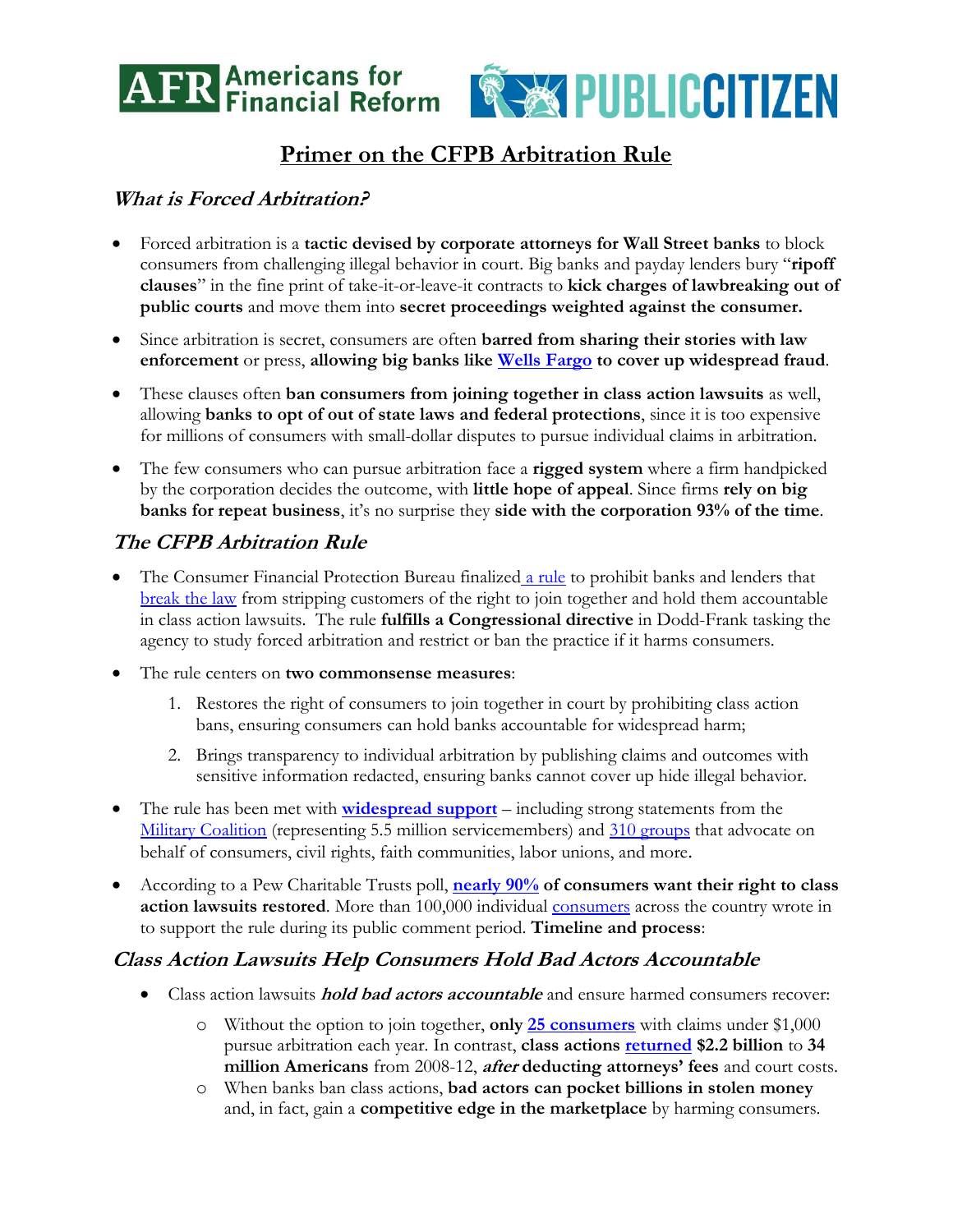



# **Primer on the CFPB Arbitration Rule**

### **What is Forced Arbitration?**

- Forced arbitration is a **tactic devised by corporate attorneys for Wall Street banks** to block consumers from challenging illegal behavior in court. Big banks and payday lenders bury "**ripoff clauses**" in the fine print of take-it-or-leave-it contracts to **kick charges of lawbreaking out of public courts** and move them into **secret proceedings weighted against the consumer.**
- Since arbitration is secret, consumers are often **barred from sharing their stories with law enforcement** or press, **allowing big banks like [Wells Fargo](#page-1-0) to cover up widespread fraud**.
- These clauses often **ban consumers from joining together in class action lawsuits** as well, allowing **banks to opt of out of state laws and federal protections**, since it is too expensive for millions of consumers with small-dollar disputes to pursue individual claims in arbitration.
- The few consumers who can pursue arbitration face a **rigged system** where a firm handpicked by the corporation decides the outcome, with **little hope of appeal**. Since firms **rely on big banks for repeat business**, it's no surprise they **side with the corporation 93% of the time**.

## **The CFPB Arbitration Rule**

- The Consumer Financial Protection Bureau finalized [a rule](https://www.consumerfinance.gov/about-us/blog/weve-issued-new-rule-arbitration-help-groups-people-take-companies-court/) to prohibit banks and lenders that [break the law](http://www.noripoffclause.com/) from stripping customers of the right to join together and hold them accountable in class action lawsuits. The rule **fulfills a Congressional directive** in Dodd-Frank tasking the agency to study forced arbitration and restrict or ban the practice if it harms consumers.
- The rule centers on **two commonsense measures**:
	- 1. Restores the right of consumers to join together in court by prohibiting class action bans, ensuring consumers can hold banks accountable for widespread harm;
	- 2. Brings transparency to individual arbitration by publishing claims and outcomes with sensitive information redacted, ensuring banks cannot cover up hide illegal behavior.
- The rule has been met with **[widespread support](http://www.fairarbitrationnow.org/cfpb-arbitration-rule/)** including strong statements from the [Military Coalition](http://www.fairarbitrationnow.org/letter-military-coalition/) (representing 5.5 million servicemembers) and [310 groups](http://www.fairarbitrationnow.org/wp-content/uploads/2016/05/Coalition-Letter-on-Final-CFPB-Arb-Rule.pdf) that advocate on behalf of consumers, civil rights, faith communities, labor unions, and more.
- According to a Pew Charitable Trusts poll, **[nearly 90%](http://www.pewtrusts.org/en/research-and-analysis/issue-briefs/2016/08/consumers-want-the-right-to-resolve-bank-disputes-in-court) of consumers want their right to class action lawsuits restored**. More than 100,000 individual [consumers](http://blog.ourfinancialsecurity.org/2016/09/cfpb-arbitration-rule-receives-strong-and-widespread-support/) across the country wrote in to support the rule during its public comment period. **Timeline and process**:

### **Class Action Lawsuits Help Consumers Hold Bad Actors Accountable**

- Class action lawsuits **hold bad actors accountable** and ensure harmed consumers recover:
	- o Without the option to join together, **only [25 consumers](http://files.consumerfinance.gov/f/201503_cfpb_arbitration-study-report-to-congress-2015.pdf)** with claims under \$1,000 pursue arbitration each year. In contrast, **class actions [returned](https://centerjd.org/content/fact-sheet-cfpb-arbitration-study-highlights) \$2.2 billion** to **34 million Americans** from 2008-12, **after deducting attorneys' fees** and court costs.
	- o When banks ban class actions, **bad actors can pocket billions in stolen money** and, in fact, gain a **competitive edge in the marketplace** by harming consumers.